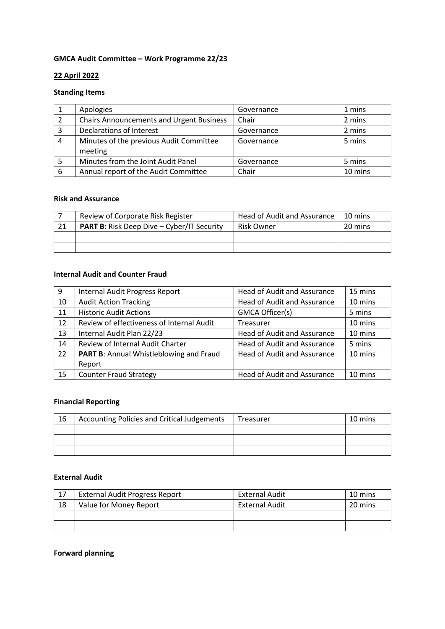## **GMCA Audit Committee – Work Programme 22/23**

### **22 April 2022**

## **Standing Items**

|   | Apologies                                       | Governance | 1 mins  |
|---|-------------------------------------------------|------------|---------|
|   | <b>Chairs Announcements and Urgent Business</b> | Chair      | 2 mins  |
| 3 | Declarations of Interest                        | Governance | 2 mins  |
| 4 | Minutes of the previous Audit Committee         | Governance | 5 mins  |
|   | meeting                                         |            |         |
|   | Minutes from the Joint Audit Panel              | Governance | 5 mins  |
| 6 | Annual report of the Audit Committee            | Chair      | 10 mins |

#### **Risk and Assurance**

|     | Review of Corporate Risk Register                 | Head of Audit and Assurance | 10 mins |
|-----|---------------------------------------------------|-----------------------------|---------|
| -21 | <b>PART B:</b> Risk Deep Dive - Cyber/IT Security | <b>Risk Owner</b>           | 20 mins |
|     |                                                   |                             |         |
|     |                                                   |                             |         |

## **Internal Audit and Counter Fraud**

| 9  | Internal Audit Progress Report                 | <b>Head of Audit and Assurance</b> | 15 mins |
|----|------------------------------------------------|------------------------------------|---------|
| 10 | <b>Audit Action Tracking</b>                   | <b>Head of Audit and Assurance</b> | 10 mins |
| 11 | <b>Historic Audit Actions</b>                  | GMCA Officer(s)                    | 5 mins  |
| 12 | Review of effectiveness of Internal Audit      | <b>Treasurer</b>                   | 10 mins |
| 13 | Internal Audit Plan 22/23                      | Head of Audit and Assurance        | 10 mins |
| 14 | Review of Internal Audit Charter               | <b>Head of Audit and Assurance</b> | 5 mins  |
| 22 | <b>PART B:</b> Annual Whistleblowing and Fraud | Head of Audit and Assurance        | 10 mins |
|    | Report                                         |                                    |         |
| 15 | <b>Counter Fraud Strategy</b>                  | <b>Head of Audit and Assurance</b> | 10 mins |

# **Financial Reporting**

| 16 | Accounting Policies and Critical Judgements | Treasurer | 10 mins |
|----|---------------------------------------------|-----------|---------|
|    |                                             |           |         |
|    |                                             |           |         |
|    |                                             |           |         |

### **External Audit**

| 17 | <b>External Audit Progress Report</b> | <b>External Audit</b> | 10 mins |
|----|---------------------------------------|-----------------------|---------|
| 18 | Value for Money Report                | <b>External Audit</b> | 20 mins |
|    |                                       |                       |         |
|    |                                       |                       |         |

# **Forward planning**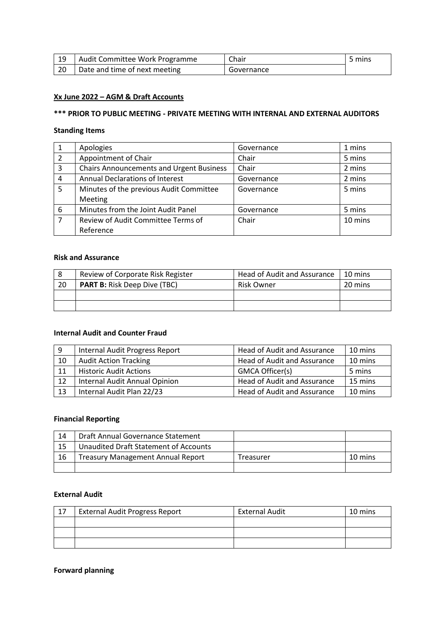| -19 | Audit Committee Work Programme | Chair      | 5 mins |
|-----|--------------------------------|------------|--------|
| -20 | Date and time of next meeting  | Governance |        |

### **Xx June 2022 – AGM & Draft Accounts**

# **\*\*\* PRIOR TO PUBLIC MEETING - PRIVATE MEETING WITH INTERNAL AND EXTERNAL AUDITORS**

#### **Standing Items**

|                | Apologies                                       | Governance | 1 mins  |
|----------------|-------------------------------------------------|------------|---------|
| 2              | Appointment of Chair                            | Chair      | 5 mins  |
| 3              | <b>Chairs Announcements and Urgent Business</b> | Chair      | 2 mins  |
| 4              | <b>Annual Declarations of Interest</b>          | Governance | 2 mins  |
| 5              | Minutes of the previous Audit Committee         | Governance | 5 mins  |
|                | Meeting                                         |            |         |
| 6              | Minutes from the Joint Audit Panel              | Governance | 5 mins  |
| $\overline{ }$ | Review of Audit Committee Terms of              | Chair      | 10 mins |
|                | Reference                                       |            |         |

### **Risk and Assurance**

|     | Review of Corporate Risk Register   | Head of Audit and Assurance | 10 mins |
|-----|-------------------------------------|-----------------------------|---------|
| -20 | <b>PART B:</b> Risk Deep Dive (TBC) | Risk Owner                  | 20 mins |
|     |                                     |                             |         |
|     |                                     |                             |         |

### **Internal Audit and Counter Fraud**

| 9  | Internal Audit Progress Report | Head of Audit and Assurance | 10 mins |
|----|--------------------------------|-----------------------------|---------|
| 10 | <b>Audit Action Tracking</b>   | Head of Audit and Assurance | 10 mins |
| 11 | <b>Historic Audit Actions</b>  | GMCA Officer(s)             | 5 mins  |
| 12 | Internal Audit Annual Opinion  | Head of Audit and Assurance | 15 mins |
| 13 | Internal Audit Plan 22/23      | Head of Audit and Assurance | 10 mins |

### **Financial Reporting**

| 14 | Draft Annual Governance Statement        |           |         |
|----|------------------------------------------|-----------|---------|
| 15 | Unaudited Draft Statement of Accounts    |           |         |
| 16 | <b>Treasury Management Annual Report</b> | Treasurer | 10 mins |
|    |                                          |           |         |

### **External Audit**

| 17 | <b>External Audit Progress Report</b> | <b>External Audit</b> | 10 mins |
|----|---------------------------------------|-----------------------|---------|
|    |                                       |                       |         |
|    |                                       |                       |         |
|    |                                       |                       |         |

## **Forward planning**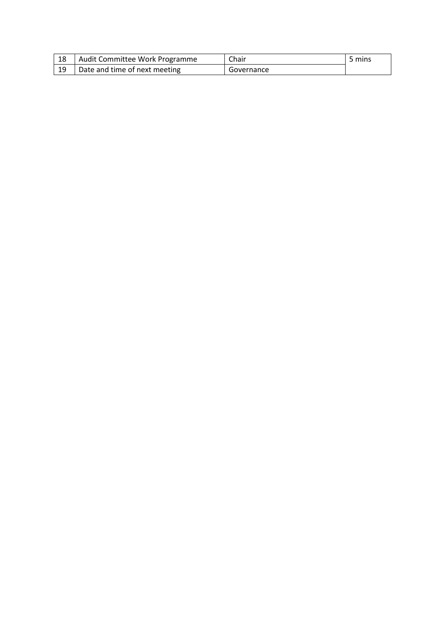| 18 | Audit Committee Work Programme | Chair      | 5 mins |
|----|--------------------------------|------------|--------|
| 19 | Date and time of next meeting  | Governance |        |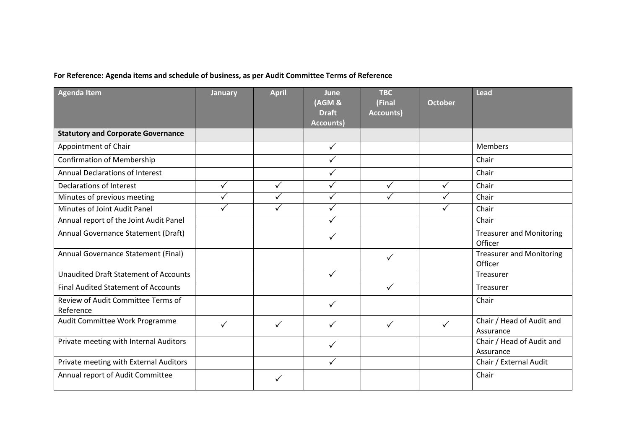# **For Reference: Agenda items and schedule of business, as per Audit Committee Terms of Reference**

| <b>Agenda Item</b>                              | <b>January</b> | <b>April</b> | June<br>(AGM &<br><b>Draft</b><br><b>Accounts)</b> | <b>TBC</b><br>(Final<br>Accounts) | <b>October</b> | Lead                                       |
|-------------------------------------------------|----------------|--------------|----------------------------------------------------|-----------------------------------|----------------|--------------------------------------------|
| <b>Statutory and Corporate Governance</b>       |                |              |                                                    |                                   |                |                                            |
| Appointment of Chair                            |                |              | $\checkmark$                                       |                                   |                | <b>Members</b>                             |
| <b>Confirmation of Membership</b>               |                |              | $\checkmark$                                       |                                   |                | Chair                                      |
| Annual Declarations of Interest                 |                |              | $\checkmark$                                       |                                   |                | Chair                                      |
| Declarations of Interest                        | $\checkmark$   | $\checkmark$ | $\checkmark$                                       | $\checkmark$                      | $\checkmark$   | Chair                                      |
| Minutes of previous meeting                     | $\checkmark$   | ✓            | $\checkmark$                                       |                                   | ✓              | Chair                                      |
| Minutes of Joint Audit Panel                    | $\checkmark$   | $\checkmark$ | $\checkmark$                                       |                                   | $\checkmark$   | Chair                                      |
| Annual report of the Joint Audit Panel          |                |              | $\checkmark$                                       |                                   |                | Chair                                      |
| Annual Governance Statement (Draft)             |                |              | ✓                                                  |                                   |                | <b>Treasurer and Monitoring</b><br>Officer |
| Annual Governance Statement (Final)             |                |              |                                                    | $\checkmark$                      |                | <b>Treasurer and Monitoring</b><br>Officer |
| <b>Unaudited Draft Statement of Accounts</b>    |                |              | $\checkmark$                                       |                                   |                | Treasurer                                  |
| <b>Final Audited Statement of Accounts</b>      |                |              |                                                    | ✓                                 |                | Treasurer                                  |
| Review of Audit Committee Terms of<br>Reference |                |              | $\checkmark$                                       |                                   |                | Chair                                      |
| Audit Committee Work Programme                  | $\checkmark$   | $\checkmark$ | $\checkmark$                                       | ✓                                 | $\checkmark$   | Chair / Head of Audit and<br>Assurance     |
| Private meeting with Internal Auditors          |                |              | $\checkmark$                                       |                                   |                | Chair / Head of Audit and<br>Assurance     |
| Private meeting with External Auditors          |                |              | $\checkmark$                                       |                                   |                | Chair / External Audit                     |
| Annual report of Audit Committee                |                | ✓            |                                                    |                                   |                | Chair                                      |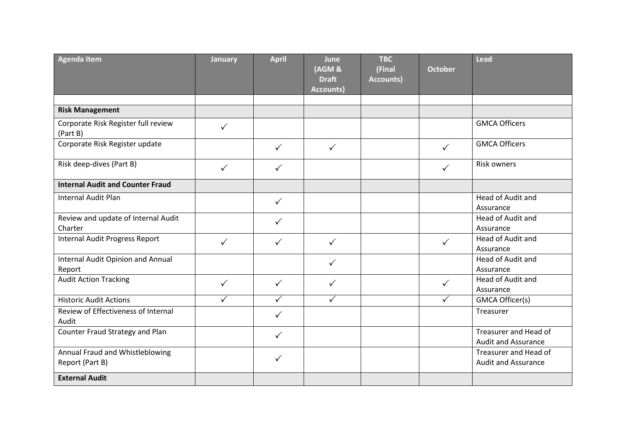| <b>Agenda Item</b>                                 | <b>January</b> | <b>April</b> | June<br>(AGM &<br><b>Draft</b><br><b>Accounts)</b> | <b>TBC</b><br>(Final<br><b>Accounts)</b> | <b>October</b> | <b>Lead</b>                                         |
|----------------------------------------------------|----------------|--------------|----------------------------------------------------|------------------------------------------|----------------|-----------------------------------------------------|
|                                                    |                |              |                                                    |                                          |                |                                                     |
| <b>Risk Management</b>                             |                |              |                                                    |                                          |                |                                                     |
| Corporate Risk Register full review<br>(Part B)    | $\checkmark$   |              |                                                    |                                          |                | <b>GMCA Officers</b>                                |
| Corporate Risk Register update                     |                | ✓            | $\checkmark$                                       |                                          | $\checkmark$   | <b>GMCA Officers</b>                                |
| Risk deep-dives (Part B)                           | $\checkmark$   | $\checkmark$ |                                                    |                                          | $\checkmark$   | <b>Risk owners</b>                                  |
| <b>Internal Audit and Counter Fraud</b>            |                |              |                                                    |                                          |                |                                                     |
| <b>Internal Audit Plan</b>                         |                | $\checkmark$ |                                                    |                                          |                | Head of Audit and<br>Assurance                      |
| Review and update of Internal Audit<br>Charter     |                | $\checkmark$ |                                                    |                                          |                | Head of Audit and<br>Assurance                      |
| <b>Internal Audit Progress Report</b>              | $\checkmark$   | $\checkmark$ | $\checkmark$                                       |                                          | $\checkmark$   | Head of Audit and<br>Assurance                      |
| Internal Audit Opinion and Annual<br>Report        |                |              | ✓                                                  |                                          |                | Head of Audit and<br>Assurance                      |
| <b>Audit Action Tracking</b>                       | $\checkmark$   | $\checkmark$ | $\checkmark$                                       |                                          | $\checkmark$   | Head of Audit and<br>Assurance                      |
| <b>Historic Audit Actions</b>                      | ✓              | $\checkmark$ | ✓                                                  |                                          | ✓              | GMCA Officer(s)                                     |
| Review of Effectiveness of Internal<br>Audit       |                | ✓            |                                                    |                                          |                | Treasurer                                           |
| Counter Fraud Strategy and Plan                    |                | $\checkmark$ |                                                    |                                          |                | Treasurer and Head of<br><b>Audit and Assurance</b> |
| Annual Fraud and Whistleblowing<br>Report (Part B) |                | $\checkmark$ |                                                    |                                          |                | Treasurer and Head of<br><b>Audit and Assurance</b> |
| <b>External Audit</b>                              |                |              |                                                    |                                          |                |                                                     |